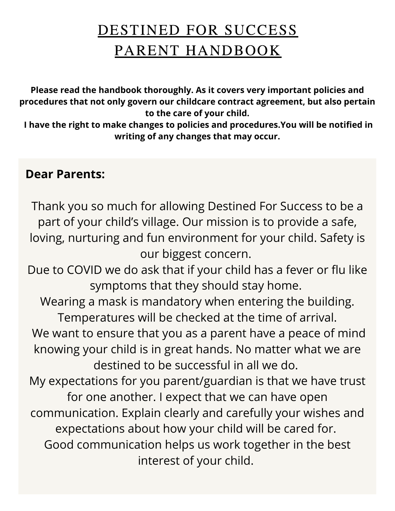# DESTINED FOR SUCCESS PARENT HANDBOOK

**Please read the handbook thoroughly. As it covers very important policies and procedures that not only govern our childcare contract agreement, but also pertain to the care of your child.**

**I have the right to make changes to policies and procedures.You will be notified in writing of any changes that may occur.**

## **Dear Parents:**

Thank you so much for allowing Destined For Success to be a part of your child's village. Our mission is to provide a safe, loving, nurturing and fun environment for your child. Safety is our biggest concern. Due to COVID we do ask that if your child has a fever or flu like symptoms that they should stay home. Wearing a mask is mandatory when entering the building. Temperatures will be checked at the time of arrival. We want to ensure that you as a parent have a peace of mind knowing your child is in great hands. No matter what we are destined to be successful in all we do. My expectations for you parent/guardian is that we have trust for one another. I expect that we can have open communication. Explain clearly and carefully your wishes and expectations about how your child will be cared for. Good communication helps us work together in the best interest of your child.